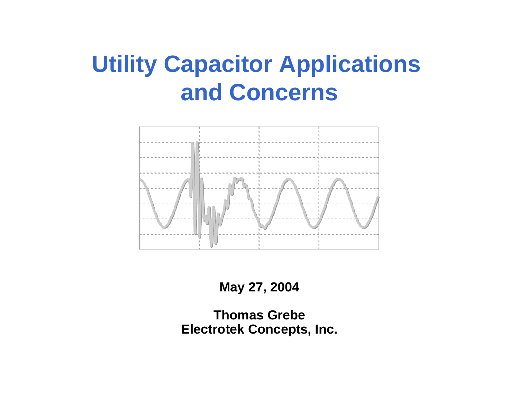# **Utility Capacitor Applications and Concerns**



**May 27, 2004**

**Thomas Grebe Electrotek Concepts, Inc.**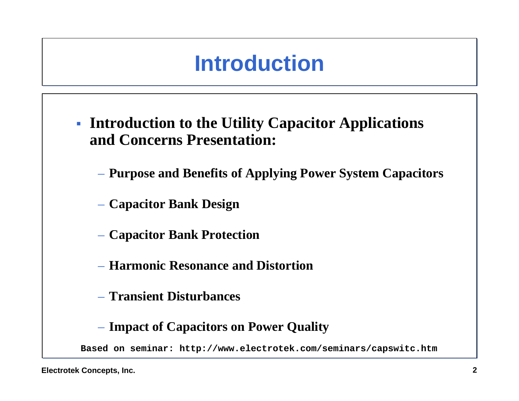# **Introduction**

- **Introduction to the Utility Capacitor Applications and Concerns Presentation:**
	- **Purpose and Benefits of Applying Power System Capacitors**
	- **Capacitor Bank Design**
	- **Capacitor Bank Protection**
	- **Harmonic Resonance and Distortion**
	- **Transient Disturbances**
	- **Impact of Capacitors on Power Quality**

**Based on seminar: http://www.electrotek.com/seminars/capswitc.htm**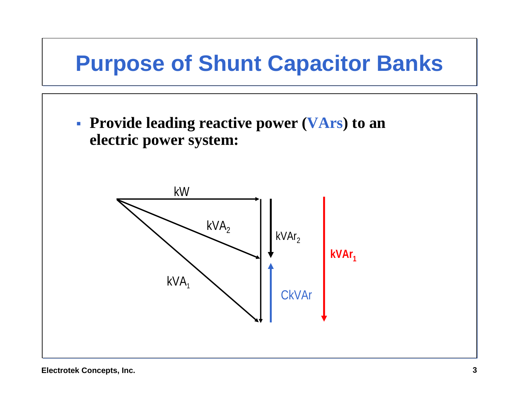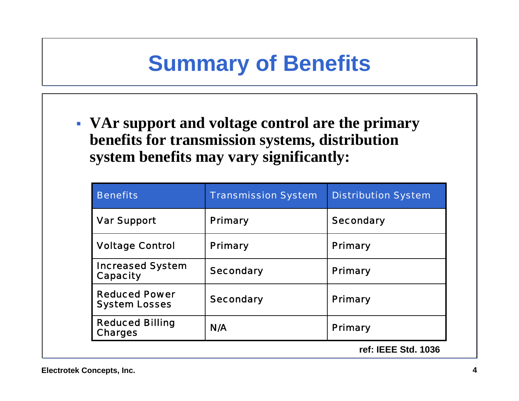#### **Summary of Benefits**

 **VAr support and voltage control are the primary benefits for transmission systems, distribution system benefits may vary significantly:**

| <b>Benefits</b>                              | <b>Transmission System</b> | <b>Distribution System</b> |
|----------------------------------------------|----------------------------|----------------------------|
| <b>Var Support</b>                           | <b>Primary</b>             | <b>Secondary</b>           |
| <b>Voltage Control</b>                       | <b>Primary</b>             | <b>Primary</b>             |
| <b>Increased System</b><br><b>Capacity</b>   | <b>Secondary</b>           | <b>Primary</b>             |
| <b>Reduced Power</b><br><b>System Losses</b> | <b>Secondary</b>           | <b>Primary</b>             |
| <b>Reduced Billing</b><br><b>Charges</b>     | N/A                        | <b>Primary</b>             |
|                                              |                            | ref: IEEE Std. 1036        |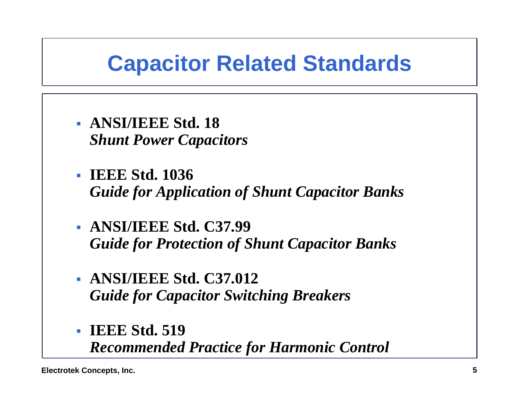#### **Capacitor Related Standards**

- **ANSI/IEEE Std. 18***Shunt Power Capacitors*
- **IEEE Std. 1036***Guide for Application of Shunt Capacitor Banks*
- **ANSI/IEEE Std. C37.99***Guide for Protection of Shunt Capacitor Banks*
- **ANSI/IEEE Std. C37.012***Guide for Capacitor Switching Breakers*
- **IEEE Std. 519***Recommended Practice for Harmonic Control*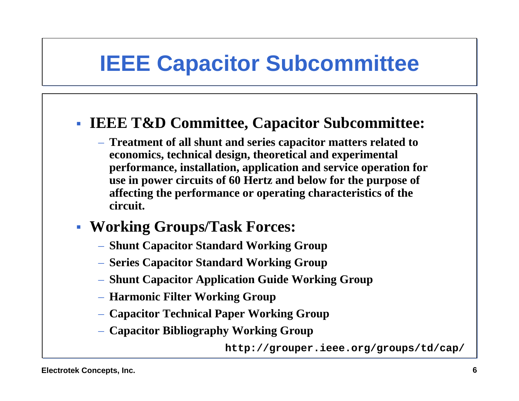## **IEEE Capacitor Subcommittee**

#### **IEEE T&D Committee, Capacitor Subcommittee:**

- **Treatment of all shunt and series capacitor matters related to economics, technical design, theoretical and experimental performance, installation, application and service operation for use in power circuits of 60 Hertz and below for the purpose of affecting the performance or operating characteristics of the circuit.**
- **Working Groups/Task Forces:**
	- **Shunt Capacitor Standard Working Group**
	- **Series Capacitor Standard Working Group**
	- **Shunt Capacitor Application Guide Working Group**
	- **Harmonic Filter Working Group**
	- **Capacitor Technical Paper Working Group**
	- **Capacitor Bibliography Working Group**

**http://grouper.ieee.org/groups/td/cap/**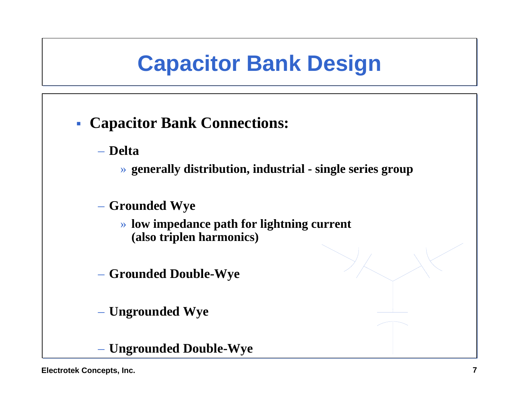## **Capacitor Bank Design**

- **Capacitor Bank Connections:**
	- **Delta**
		- » **generally distribution, industrial - single series group**
	- **Grounded Wye**
		- » **low impedance path for lightning current (also triplen harmonics)**
	- **Grounded Double-Wye**
	- **Ungrounded Wye**
	- **Ungrounded Double-Wye**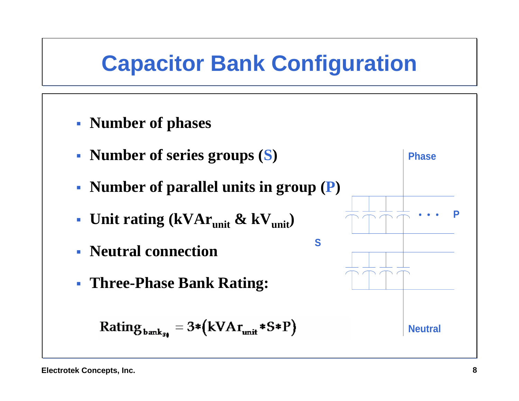### **Capacitor Bank Configuration**

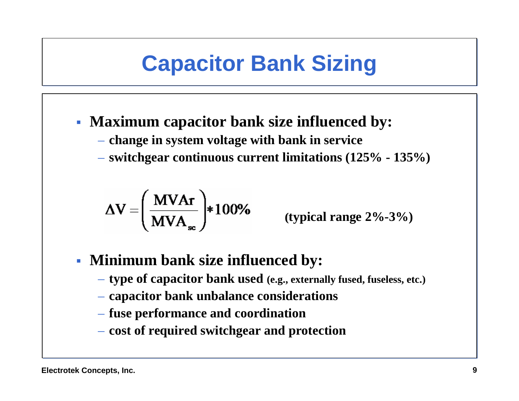# **Capacitor Bank Sizing**

#### **Maximum capacitor bank size influenced by:**

- **change in system voltage with bank in service**
- **switchgear continuous current limitations (125% - 135%)**

$$
\Delta V = \left(\frac{M V A r}{M V A_{\rm sc}}\right) * 100\%
$$

**(typical range 2%-3%)**

#### **Minimum bank size influenced by:**

- **type of capacitor bank used (e.g., externally fused, fuseless, etc.)**
- **capacitor bank unbalance considerations**
- **fuse performance and coordination**
- **cost of required switchgear and protection**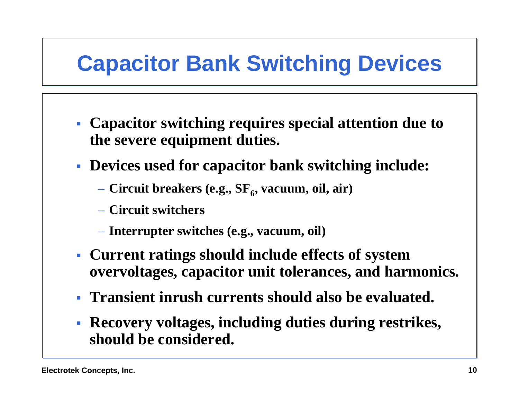# **Capacitor Bank Switching Devices**

- **Capacitor switching requires special attention due to the severe equipment duties.**
- **Devices used for capacitor bank switching include:**
	- Circuit breakers (e.g., SF<sub>6</sub>, vacuum, oil, air)
	- **Circuit switchers**
	- **Interrupter switches (e.g., vacuum, oil)**
- **Current ratings should include effects of system overvoltages, capacitor unit tolerances, and harmonics.**
- **Transient inrush currents should also be evaluated.**
- **Recovery voltages, including duties during restrikes, should be considered.**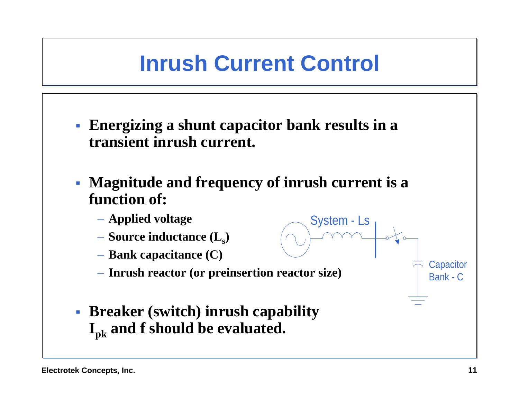### **Inrush Current Control**

- **Energizing a shunt capacitor bank results in a transient inrush current.**
- П **Magnitude and frequency of inrush current is a function of:**

System - Ls

- **Applied voltage**
- **Source inductance**  $(\mathbf{L}_\text{s})$
- **Bank capacitance (C)**
- **Inrush reactor (or preinsertion reactor size)**
- **Breaker (switch) inrush capability Ipk and f should be evaluated.**

**Capacitor** Bank - C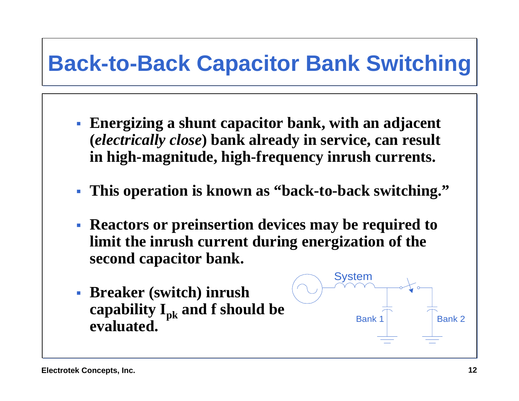## **Back-to-Back Capacitor Bank Switching**

- **Energizing a shunt capacitor bank, with an adjacent (***electrically close***) bank already in service, can result in high-magnitude, high-frequency inrush currents.**
- **This operation is known as "back-to-back switching."**
- **Reactors or preinsertion devices may be required to limit the inrush current during energization of the second capacitor bank.**
- **Breaker (switch) inrush**  capability I<sub>pk</sub> and f should be **evaluated.**

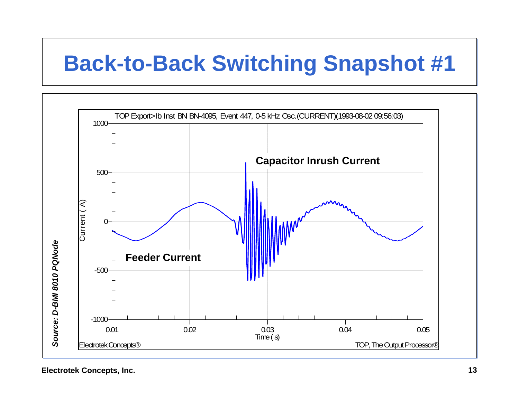## **Back-to-Back Switching Snapshot #1**

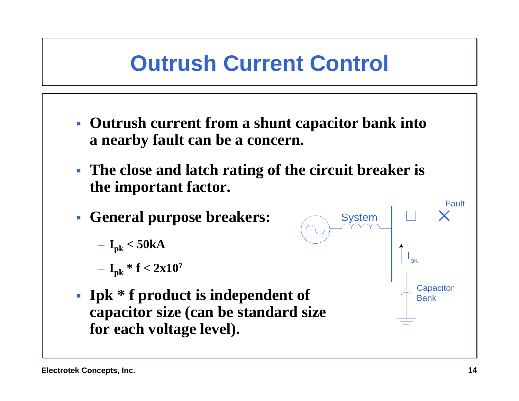## **Outrush Current Control**

- **Outrush current from a shunt capacitor bank into a nearby fault can be a concern.**
- **The close and latch rating of the circuit breaker is the important factor.**
- **General purpose breakers:**

$$
-I_{pk} < 50kA
$$

$$
-I_{\rm pk} * f < 2x10^7
$$

 **Ipk \* f product is independent of capacitor size (can be standard size for each voltage level).**

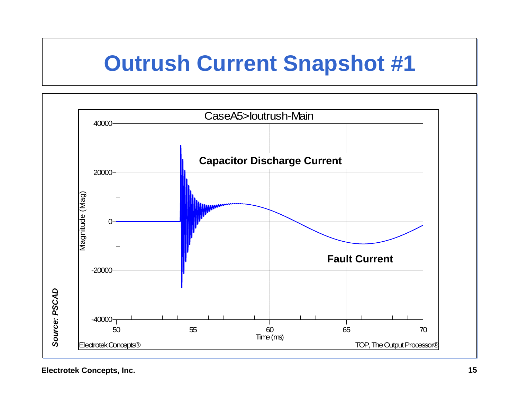#### **Outrush Current Snapshot #1**

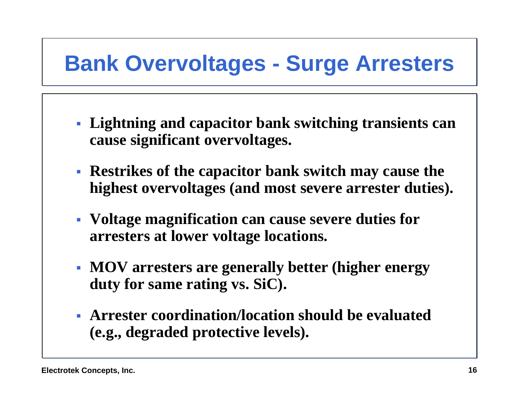# **Bank Overvoltages - Surge Arresters**

- **Lightning and capacitor bank switching transients can cause significant overvoltages.**
- **Restrikes of the capacitor bank switch may cause the highest overvoltages (and most severe arrester duties).**
- **Voltage magnification can cause severe duties for arresters at lower voltage locations.**
- **MOV arresters are generally better (higher energy duty for same rating vs. SiC).**
- **Arrester coordination/location should be evaluated(e.g., degraded protective levels).**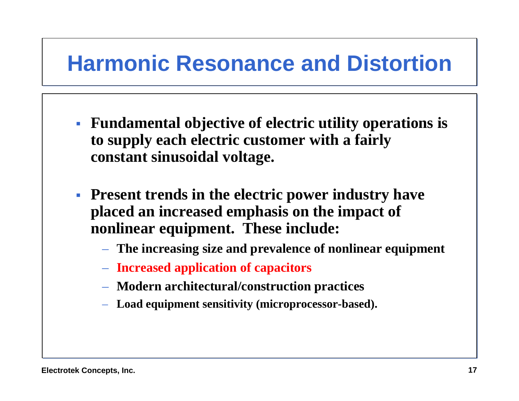#### **Harmonic Resonance and Distortion**

- **Fundamental objective of electric utility operations is to supply each electric customer with a fairly constant sinusoidal voltage.**
- **Present trends in the electric power industry have placed an increased emphasis on the impact of nonlinear equipment. These include:**
	- **The increasing size and prevalence of nonlinear equipment**
	- **Increased application of capacitors**
	- **Modern architectural/construction practices**
	- **Load equipment sensitivity (microprocessor-based).**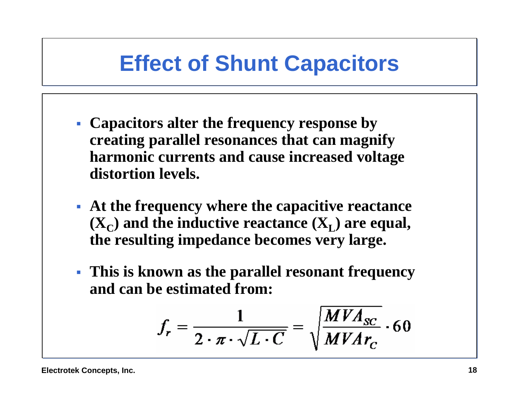#### **Effect of Shunt Capacitors**

- **Capacitors alter the frequency response by creating parallel resonances that can magnify harmonic currents and cause increased voltage distortion levels.**
- **At the frequency where the capacitive reactance**   $(X_C)$  and the inductive reactance  $(X_L)$  are equal, **the resulting impedance becomes very large.**
- **This is known as the parallel resonant frequency and can be estimated from:**

$$
f_r = \frac{1}{2 \cdot \pi \cdot \sqrt{L \cdot C}} = \sqrt{\frac{MVA_{SC}}{MVAr_C}} \cdot 60
$$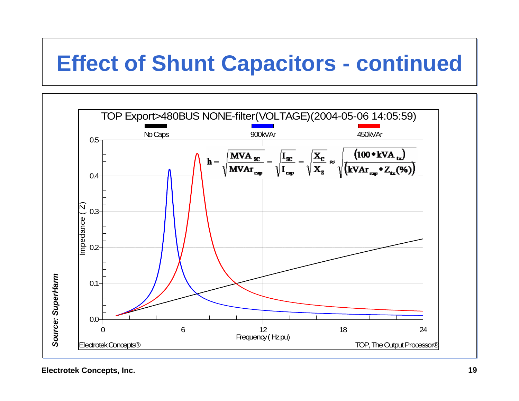## **Effect of Shunt Capacitors - continued**

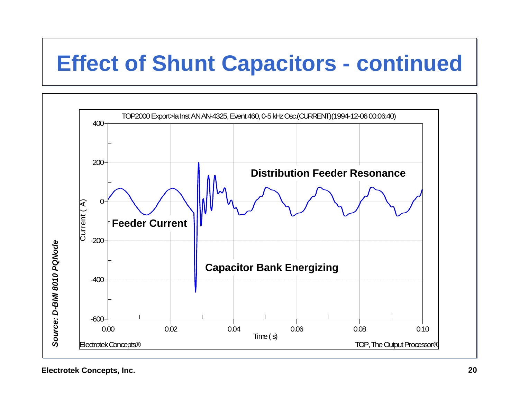# **Effect of Shunt Capacitors - continued**

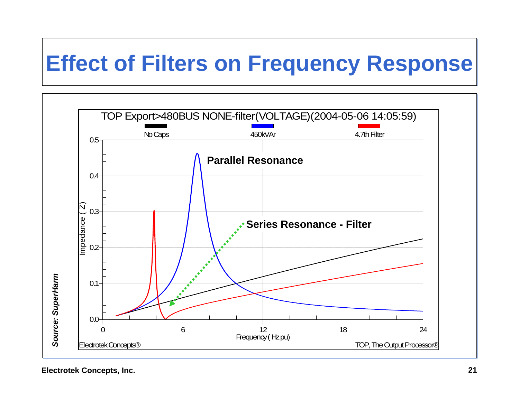# **Effect of Filters on Frequency Response**

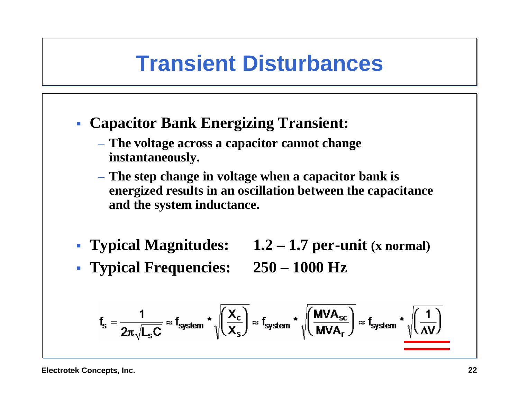#### **Transient Disturbances**

- **Capacitor Bank Energizing Transient:**
	- **The voltage across a capacitor cannot change instantaneously.**
	- **The step change in voltage when a capacitor bank is energized results in an oscillation between the capacitance and the system inductance.**
- **Typical Magnitudes: 1.2 – 1.7 per-unit (x normal)**
- **Typical Frequencies: 250 – 1000 Hz**
- 

$$
f_s = \frac{1}{2\pi\sqrt{L_sC}} \approx f_{system} \star \sqrt{\left(\frac{X_c}{X_s}\right)} \approx f_{system} \star \sqrt{\left(\frac{\text{MVA}_{sc}}{\text{MVA}_{r}}\right)} \approx f_{system} \star \sqrt{\left(\frac{1}{\Delta V}\right)}
$$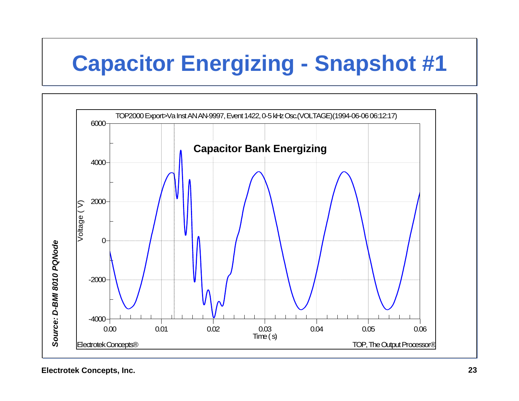# **Capacitor Energizing - Snapshot #1**

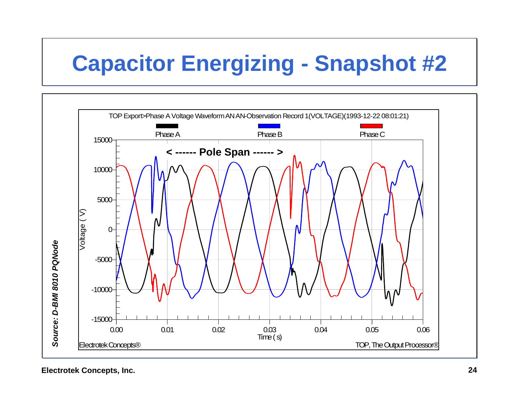# **Capacitor Energizing - Snapshot #2**

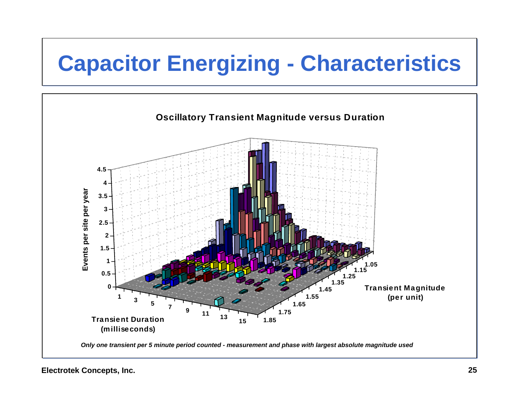# **Capacitor Energizing - Characteristics**

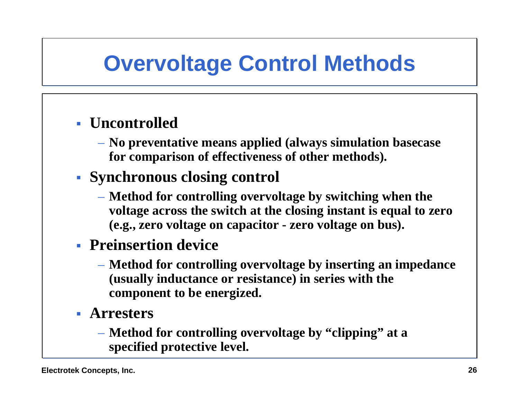### **Overvoltage Control Methods**

#### **Uncontrolled**

– **No preventative means applied (always simulation basecase for comparison of effectiveness of other methods).**

#### **Synchronous closing control**

– **Method for controlling overvoltage by switching when the voltage across the switch at the closing instant is equal to zero (e.g., zero voltage on capacitor - zero voltage on bus).**

#### **Preinsertion device**

- **Method for controlling overvoltage by inserting an impedance (usually inductance or resistance) in series with the component to be energized.**
- **Arresters**
	- **Method for controlling overvoltage by "clipping" at a specified protective level.**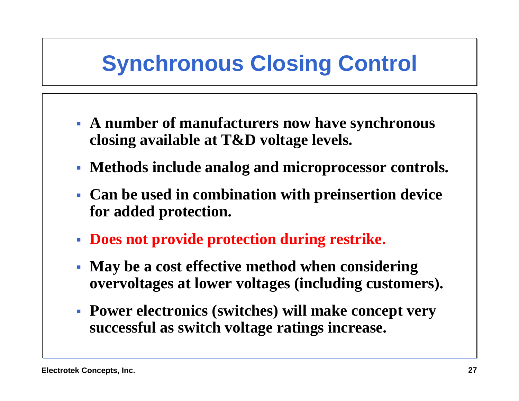# **Synchronous Closing Control**

- **A number of manufacturers now have synchronous closing available at T&D voltage levels.**
- **Methods include analog and microprocessor controls.**
- **Can be used in combination with preinsertion device for added protection.**
- **Does not provide protection during restrike.**
- **May be a cost effective method when considering overvoltages at lower voltages (including customers).**
- **Power electronics (switches) will make concept very successful as switch voltage ratings increase.**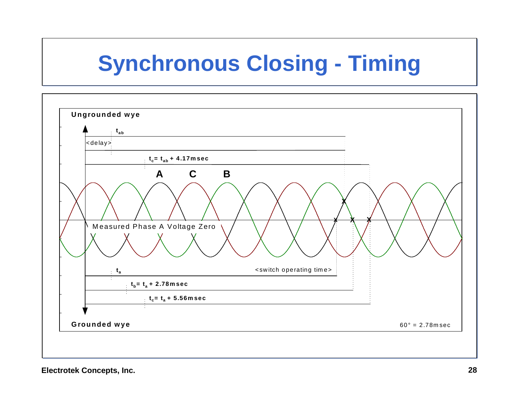# **Synchronous Closing - Timing**

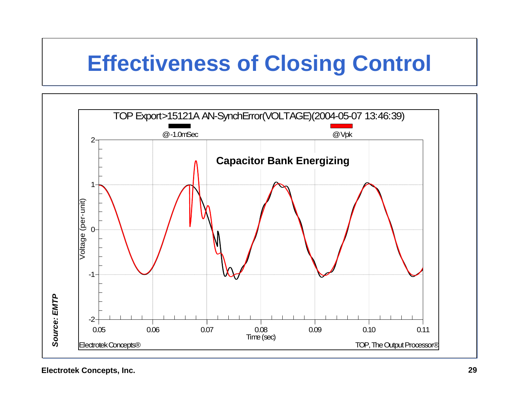## **Effectiveness of Closing Control**

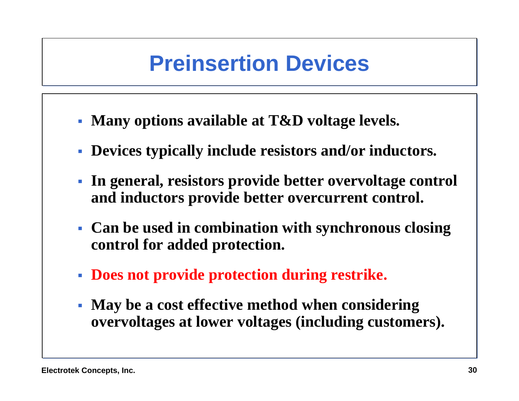#### **Preinsertion Devices**

- **Many options available at T&D voltage levels.**
- **Devices typically include resistors and/or inductors.**
- **In general, resistors provide better overvoltage control and inductors provide better overcurrent control.**
- **Can be used in combination with synchronous closing control for added protection.**
- **Does not provide protection during restrike.**
- $\mathbb{R}^n$  **May be a cost effective method when considering overvoltages at lower voltages (including customers).**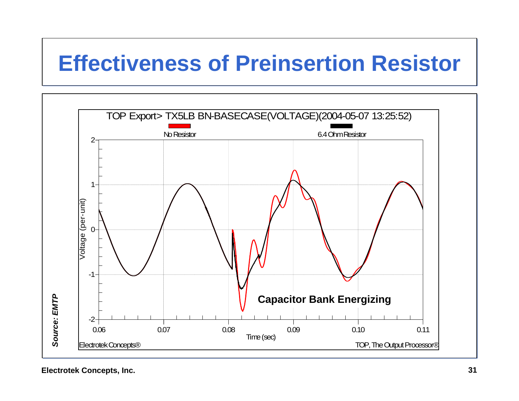### **Effectiveness of Preinsertion Resistor**

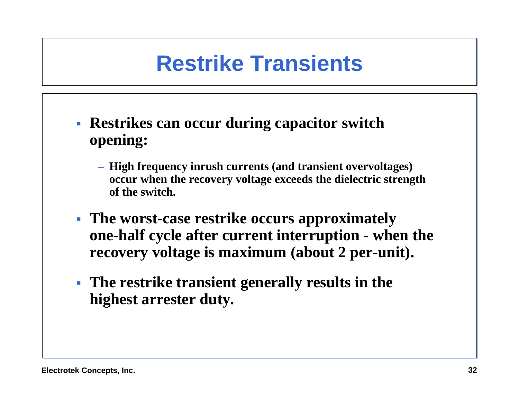### **Restrike Transients**

- **Restrikes can occur during capacitor switch opening:**
	- **High frequency inrush currents (and transient overvoltages) occur when the recovery voltage exceeds the dielectric strength of the switch.**
- **The worst-case restrike occurs approximately one-half cycle after current interruption - when the recovery voltage is maximum (about 2 per-unit).**
- **The restrike transient generally results in the highest arrester duty.**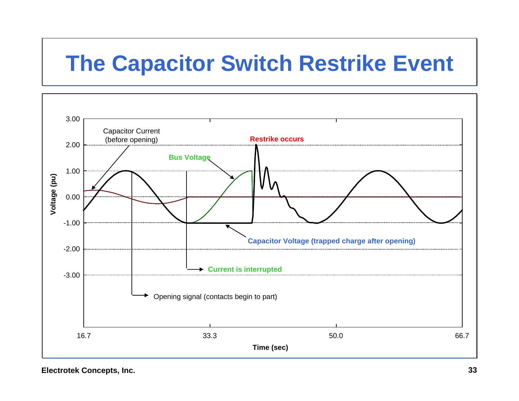# **The Capacitor Switch Restrike Event**

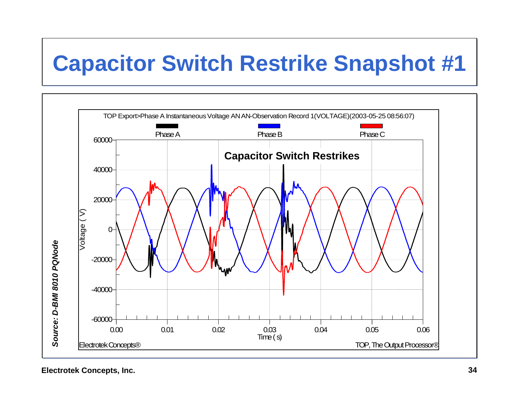# **Capacitor Switch Restrike Snapshot #1**

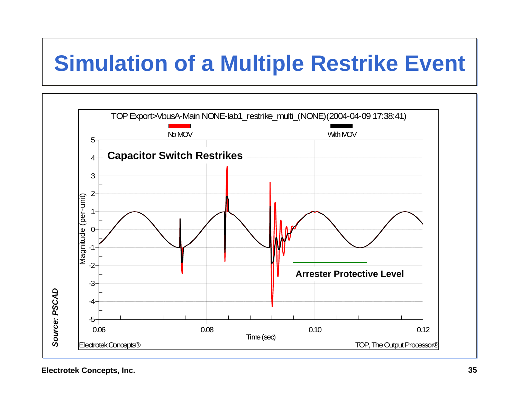# **Simulation of a Multiple Restrike Event**

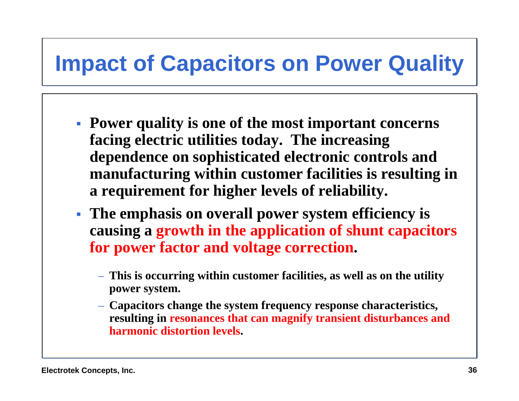#### **Impact of Capacitors on Power Quality**

- **Power quality is one of the most important concerns facing electric utilities today. The increasing dependence on sophisticated electronic controls and manufacturing within customer facilities is resulting in a requirement for higher levels of reliability.**
- **The emphasis on overall power system efficiency is causing a growth in the application of shunt capacitors for power factor and voltage correction.** 
	- **This is occurring within customer facilities, as well as on the utility power system.**
	- **Capacitors change the system frequency response characteristics, resulting in resonances that can magnify transient disturbances and harmonic distortion levels.**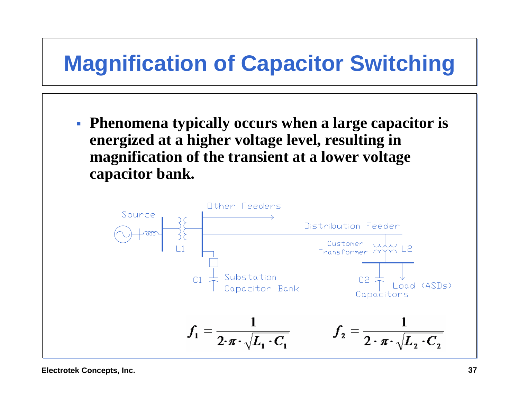# **Magnification of Capacitor Switching**

 **Phenomena typically occurs when a large capacitor is energized at a higher voltage level, resulting in magnification of the transient at a lower voltage capacitor bank.**

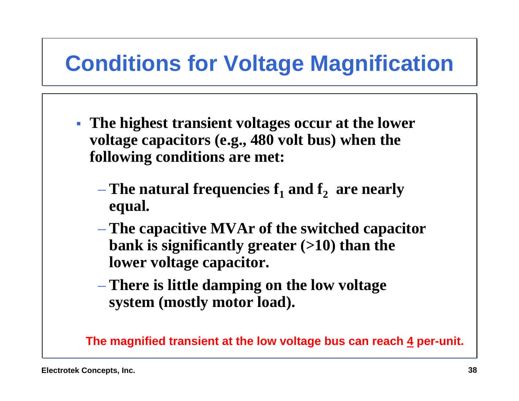# **Conditions for Voltage Magnification**

- **The highest transient voltages occur at the lower voltage capacitors (e.g., 480 volt bus) when the following conditions are met:**
	- $-$  The natural frequencies  $\mathbf{f}_1$  and  $\mathbf{f}_2$  are nearly  $\mathbf{f}_3$ **equal.**
	- **The capacitive MVAr of the switched capacitor bank is significantly greater (>10) than the lower voltage capacitor.**
	- **There is little damping on the low voltage system (mostly motor load).**

**The magnified transient at the low voltage bus can reach 4 per-unit.**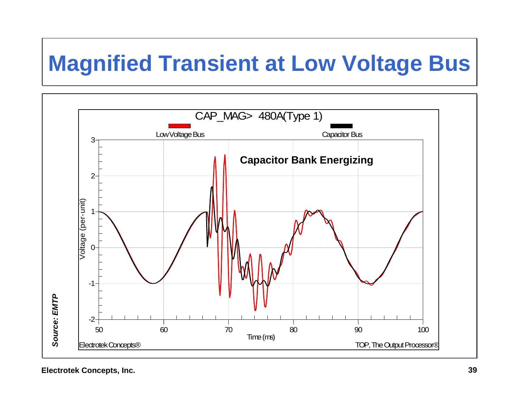## **Magnified Transient at Low Voltage Bus**

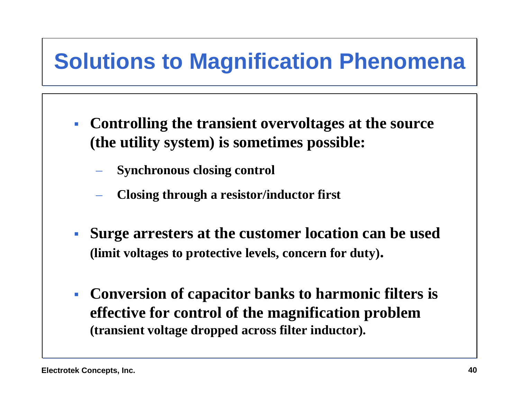## **Solutions to Magnification Phenomena**

- **Controlling the transient overvoltages at the source (the utility system) is sometimes possible:**
	- **Synchronous closing control**
	- **Closing through a resistor/inductor first**
- $\mathcal{L}_{\mathrm{max}}$  **Surge arresters at the customer location can be used (limit voltages to protective levels, concern for duty).**
- $\mathbb{R}^n$  **Conversion of capacitor banks to harmonic filters is effective for control of the magnification problem (transient voltage dropped across filter inductor).**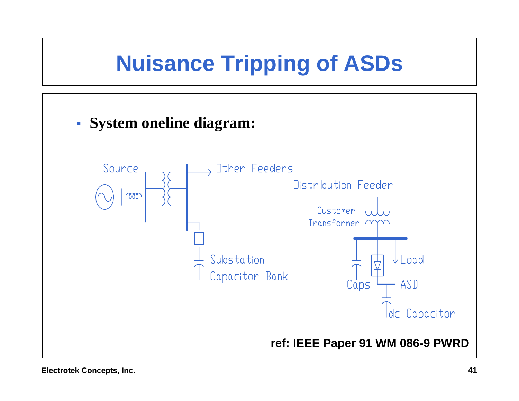# **Nuisance Tripping of ASDs**



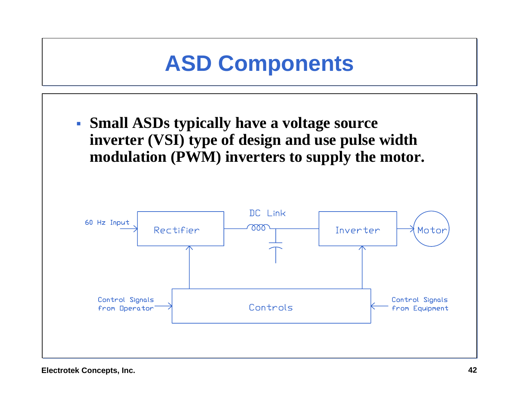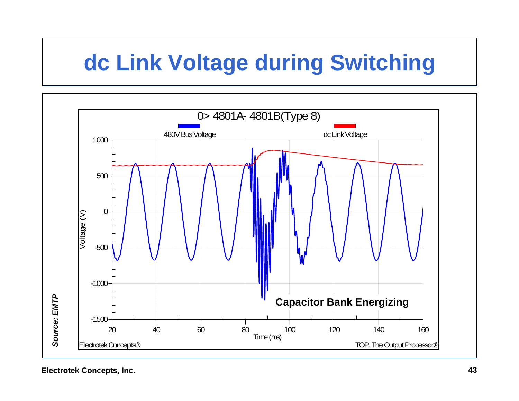## **dc Link Voltage during Switching**

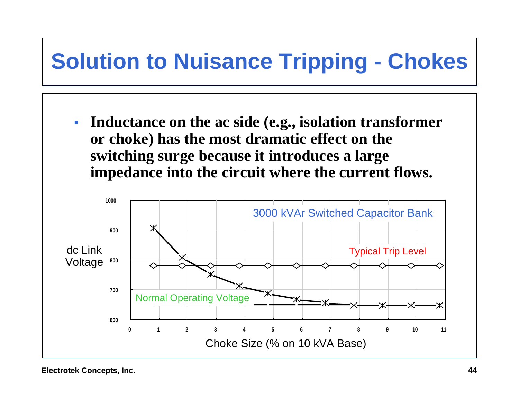# **Solution to Nuisance Tripping - Chokes**

 $\mathcal{L}_{\mathcal{A}}$  **Inductance on the ac side (e.g., isolation transformer or choke) has the most dramatic effect on the switching surge because it introduces a large impedance into the circuit where the current flows.**

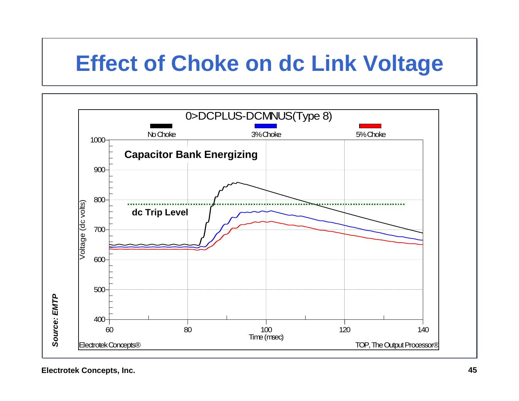#### **Effect of Choke on dc Link Voltage**